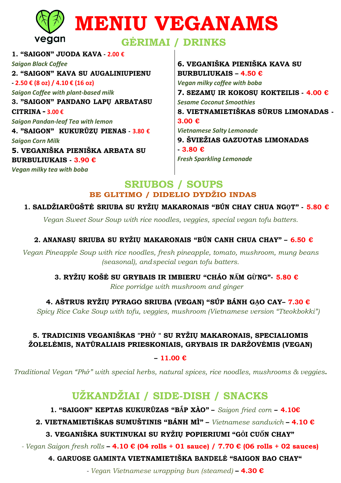|                                          | <b>WENIU VEGANAMS</b>   |
|------------------------------------------|-------------------------|
| vegan                                    | <b>GERIMAI / DRINKS</b> |
| 1. "SAIGON" JUODA KAVA - 2.00 $\epsilon$ |                         |

**Saigon Black Coffee** 2. "SAIGON" KAVA SU AUGALINIUPIENU  $-2.50 \in (8 \text{ oz}) / 4.10 \in (16 \text{ oz})$ **Saigon Coffee with plant-based milk** 3. "SAIGON" PANDANO LAPU ARBATASU CITRINA - 3.00  $\epsilon$ **Saigon Pandan-leaf Tea with lemon** 4. "SAIGON" KUKURŪZU PIENAS - 3.80 € **Saigon Corn Milk** 5. VEGANIŠKA PIENIŠKA ARBATA SU **BURBULIUKAIS - 3.90**  $\epsilon$ Vegan milky tea with boba

6. VEGANIŠKA PIENIŠKA KAVA SU **BURBULIUKAIS - 4.50 €** Vegan milky coffee with boba 7. SEZAMU IR KOKOSU KOKTEILIS  $-4.00 \in$ **Sesame Coconut Smoothies** 8. VIETNAMIETIŠKAS SŪRUS LIMONADAS - $3.00€$ **Vietnamese Salty Lemonade** 9. ŠVIEŽIAS GAZUOTAS LIMONADAS  $-3.80 \in$ **Fresh Sparkling Lemonade** 

### **SRIUBOS / SOUPS** BE GLITIMO / DIDELIO DYDŽIO INDAS

1. SALDŽIARŪGŠTĖ SRIUBA SU RYŽIU MAKARONAIS "BÚN CHAY CHUA NGOT" - 5.80 €

Vegan Sweet Sour Soup with rice noodles, veggies, special vegan tofu batters.

### 2. ANANASU SRIUBA SU RYŽIU MAKARONAIS "BÚN CANH CHUA CHAY" – 6.50  $\epsilon$

Vegan Pineapple Soup with rice noodles, fresh pineapple, tomato, mushroom, mung beans (seasonal), and special vegan tofu batters.

3. RYŽIU KOŠĖ SU GRYBAIS IR IMBIERU "CHÁO NẤM GỪNG"- 5.80 €

Rice porridge with mushroom and ginger

4. AŠTRUS RYŽIŲ PYRAGO SRIUBA (VEGAN) "SÚP BÁNH GAO CAY- 7.30 €

Spicy Rice Cake Soup with tofu, veggies, mushroom (Vietnamese version "Tteokbokki")

#### 5. TRADICINIS VEGANIŠKAS "PHỞ " SU RYŽIŲ MAKARONAIS, SPECIALIOMIS ŽOLELĖMIS, NATŪRALIAIS PRIESKONIAIS, GRYBAIS IR DARŽOVĖMIS (VEGAN)

#### $-11.00 E$

Traditional Vegan "Phỏ" with special herbs, natural spices, rice noodles, mushrooms & veggies.

# UŽKANDŽIAI / SIDE-DISH / SNACKS

1. "SAIGON" KEPTAS KUKURŪZAS "BÅP XÀO" - Saigon fried corn - 4.10€

2. VIETNAMIETIŠKAS SUMUŠTINIS "BÁNH MÌ" – Vietnamese sandwich – 4.10  $\epsilon$ 

### 3. VEGANIŠKA SUKTINUKAI SU RYŽIU POPIERIUMI "GÔI CUỐN CHAY"

- Vegan Saigon fresh rolls - 4.10  $\epsilon$  (04 rolls + 01 sauce) / 7.70  $\epsilon$  (06 rolls + 02 sauces)

4. GARUOSE GAMINTA VIETNAMIETIŠKA BANDELĖ "SAIGON BAO CHAY"

- Vegan Vietnamese wrapping bun (steamed) - 4.30  $\epsilon$